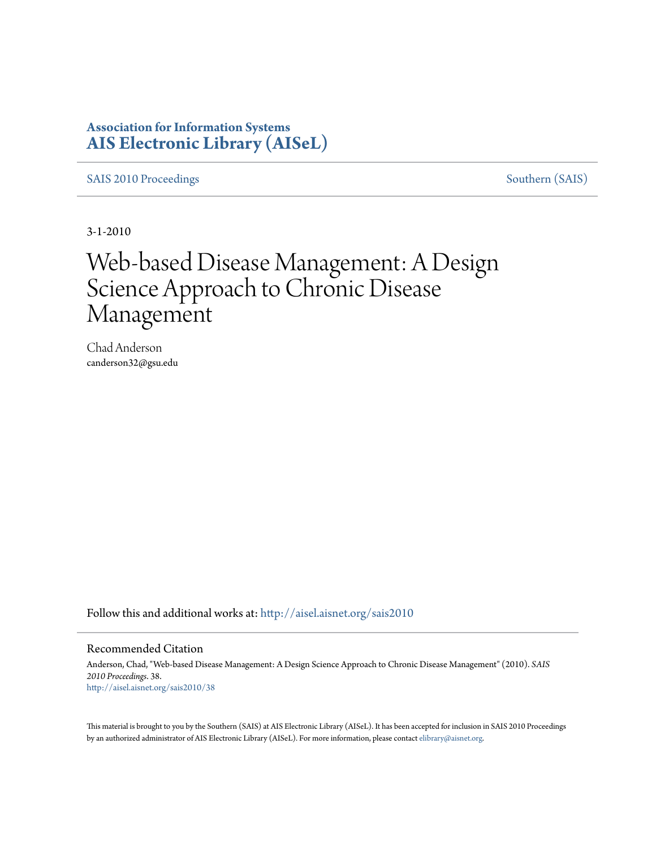### **Association for Information Systems [AIS Electronic Library \(AISeL\)](http://aisel.aisnet.org?utm_source=aisel.aisnet.org%2Fsais2010%2F38&utm_medium=PDF&utm_campaign=PDFCoverPages)**

[SAIS 2010 Proceedings](http://aisel.aisnet.org/sais2010?utm_source=aisel.aisnet.org%2Fsais2010%2F38&utm_medium=PDF&utm_campaign=PDFCoverPages) [Southern \(SAIS\)](http://aisel.aisnet.org/sais?utm_source=aisel.aisnet.org%2Fsais2010%2F38&utm_medium=PDF&utm_campaign=PDFCoverPages)

3-1-2010

# Web-based Disease Management: A Design Science Approach to Chronic Disease Management

Chad Anderson canderson32@gsu.edu

Follow this and additional works at: [http://aisel.aisnet.org/sais2010](http://aisel.aisnet.org/sais2010?utm_source=aisel.aisnet.org%2Fsais2010%2F38&utm_medium=PDF&utm_campaign=PDFCoverPages)

#### Recommended Citation

Anderson, Chad, "Web-based Disease Management: A Design Science Approach to Chronic Disease Management" (2010). *SAIS 2010 Proceedings*. 38. [http://aisel.aisnet.org/sais2010/38](http://aisel.aisnet.org/sais2010/38?utm_source=aisel.aisnet.org%2Fsais2010%2F38&utm_medium=PDF&utm_campaign=PDFCoverPages)

This material is brought to you by the Southern (SAIS) at AIS Electronic Library (AISeL). It has been accepted for inclusion in SAIS 2010 Proceedings by an authorized administrator of AIS Electronic Library (AISeL). For more information, please contact [elibrary@aisnet.org](mailto:elibrary@aisnet.org%3E).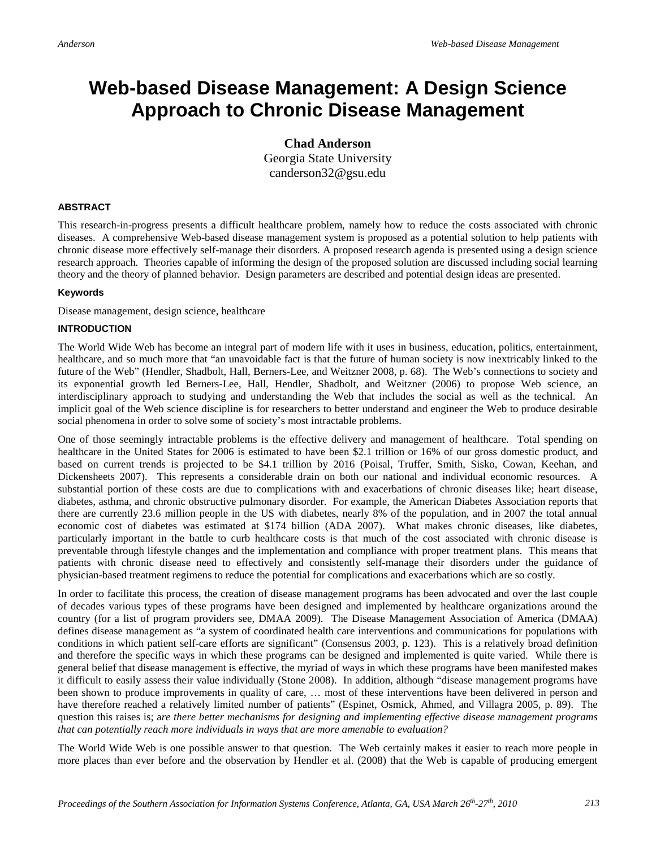## **Web-based Disease Management: A Design Science Approach to Chronic Disease Management**

**Chad Anderson** Georgia State University canderson32@gsu.edu

#### **ABSTRACT**

This research-in-progress presents a difficult healthcare problem, namely how to reduce the costs associated with chronic diseases. A comprehensive Web-based disease management system is proposed as a potential solution to help patients with chronic disease more effectively self-manage their disorders. A proposed research agenda is presented using a design science research approach. Theories capable of informing the design of the proposed solution are discussed including social learning theory and the theory of planned behavior. Design parameters are described and potential design ideas are presented.

#### **Keywords**

Disease management, design science, healthcare

#### **INTRODUCTION**

The World Wide Web has become an integral part of modern life with it uses in business, education, politics, entertainment, healthcare, and so much more that "an unavoidable fact is that the future of human society is now inextricably linked to the future of the Web" (Hendler, Shadbolt, Hall, Berners-Lee, and Weitzner 2008, p. 68). The Web's connections to society and its exponential growth led Berners-Lee, Hall, Hendler, Shadbolt, and Weitzner (2006) to propose Web science, an interdisciplinary approach to studying and understanding the Web that includes the social as well as the technical. An implicit goal of the Web science discipline is for researchers to better understand and engineer the Web to produce desirable social phenomena in order to solve some of society's most intractable problems.

One of those seemingly intractable problems is the effective delivery and management of healthcare. Total spending on healthcare in the United States for 2006 is estimated to have been \$2.1 trillion or 16% of our gross domestic product, and based on current trends is projected to be \$4.1 trillion by 2016 (Poisal, Truffer, Smith, Sisko, Cowan, Keehan, and Dickensheets 2007). This represents a considerable drain on both our national and individual economic resources. A substantial portion of these costs are due to complications with and exacerbations of chronic diseases like; heart disease, diabetes, asthma, and chronic obstructive pulmonary disorder. For example, the American Diabetes Association reports that there are currently 23.6 million people in the US with diabetes, nearly 8% of the population, and in 2007 the total annual economic cost of diabetes was estimated at \$174 billion (ADA 2007). What makes chronic diseases, like diabetes, particularly important in the battle to curb healthcare costs is that much of the cost associated with chronic disease is preventable through lifestyle changes and the implementation and compliance with proper treatment plans. This means that patients with chronic disease need to effectively and consistently self-manage their disorders under the guidance of physician-based treatment regimens to reduce the potential for complications and exacerbations which are so costly.

In order to facilitate this process, the creation of disease management programs has been advocated and over the last couple of decades various types of these programs have been designed and implemented by healthcare organizations around the country (for a list of program providers see, DMAA 2009). The Disease Management Association of America (DMAA) defines disease management as "a system of coordinated health care interventions and communications for populations with conditions in which patient self-care efforts are significant" (Consensus 2003, p. 123). This is a relatively broad definition and therefore the specific ways in which these programs can be designed and implemented is quite varied. While there is general belief that disease management is effective, the myriad of ways in which these programs have been manifested makes it difficult to easily assess their value individually (Stone 2008). In addition, although "disease management programs have been shown to produce improvements in quality of care, … most of these interventions have been delivered in person and have therefore reached a relatively limited number of patients" (Espinet, Osmick, Ahmed, and Villagra 2005, p. 89). The question this raises is; a*re there better mechanisms for designing and implementing effective disease management programs that can potentially reach more individuals in ways that are more amenable to evaluation?*

The World Wide Web is one possible answer to that question. The Web certainly makes it easier to reach more people in more places than ever before and the observation by Hendler et al. (2008) that the Web is capable of producing emergent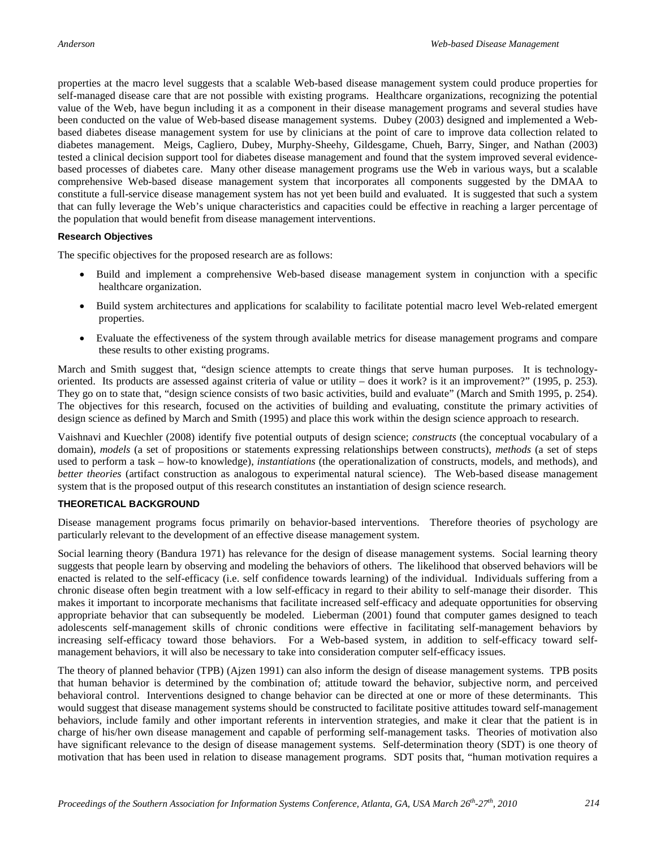properties at the macro level suggests that a scalable Web-based disease management system could produce properties for self-managed disease care that are not possible with existing programs. Healthcare organizations, recognizing the potential value of the Web, have begun including it as a component in their disease management programs and several studies have been conducted on the value of Web-based disease management systems. Dubey (2003) designed and implemented a Webbased diabetes disease management system for use by clinicians at the point of care to improve data collection related to diabetes management. Meigs, Cagliero, Dubey, Murphy-Sheehy, Gildesgame, Chueh, Barry, Singer, and Nathan (2003) tested a clinical decision support tool for diabetes disease management and found that the system improved several evidencebased processes of diabetes care. Many other disease management programs use the Web in various ways, but a scalable comprehensive Web-based disease management system that incorporates all components suggested by the DMAA to constitute a full-service disease management system has not yet been build and evaluated. It is suggested that such a system that can fully leverage the Web's unique characteristics and capacities could be effective in reaching a larger percentage of the population that would benefit from disease management interventions.

#### **Research Objectives**

The specific objectives for the proposed research are as follows:

- Build and implement a comprehensive Web-based disease management system in conjunction with a specific healthcare organization.
- Build system architectures and applications for scalability to facilitate potential macro level Web-related emergent properties.
- Evaluate the effectiveness of the system through available metrics for disease management programs and compare these results to other existing programs.

March and Smith suggest that, "design science attempts to create things that serve human purposes. It is technologyoriented. Its products are assessed against criteria of value or utility – does it work? is it an improvement?" (1995, p. 253). They go on to state that, "design science consists of two basic activities, build and evaluate" (March and Smith 1995, p. 254). The objectives for this research, focused on the activities of building and evaluating, constitute the primary activities of design science as defined by March and Smith (1995) and place this work within the design science approach to research.

Vaishnavi and Kuechler (2008) identify five potential outputs of design science; *constructs* (the conceptual vocabulary of a domain), *models* (a set of propositions or statements expressing relationships between constructs), *methods* (a set of steps used to perform a task – how-to knowledge), *instantiations* (the operationalization of constructs, models, and methods), and *better theories* (artifact construction as analogous to experimental natural science). The Web-based disease management system that is the proposed output of this research constitutes an instantiation of design science research.

#### **THEORETICAL BACKGROUND**

Disease management programs focus primarily on behavior-based interventions. Therefore theories of psychology are particularly relevant to the development of an effective disease management system.

Social learning theory (Bandura 1971) has relevance for the design of disease management systems. Social learning theory suggests that people learn by observing and modeling the behaviors of others. The likelihood that observed behaviors will be enacted is related to the self-efficacy (i.e. self confidence towards learning) of the individual. Individuals suffering from a chronic disease often begin treatment with a low self-efficacy in regard to their ability to self-manage their disorder. This makes it important to incorporate mechanisms that facilitate increased self-efficacy and adequate opportunities for observing appropriate behavior that can subsequently be modeled. Lieberman (2001) found that computer games designed to teach adolescents self-management skills of chronic conditions were effective in facilitating self-management behaviors by increasing self-efficacy toward those behaviors. For a Web-based system, in addition to self-efficacy toward selfmanagement behaviors, it will also be necessary to take into consideration computer self-efficacy issues.

The theory of planned behavior (TPB) (Ajzen 1991) can also inform the design of disease management systems. TPB posits that human behavior is determined by the combination of; attitude toward the behavior, subjective norm, and perceived behavioral control. Interventions designed to change behavior can be directed at one or more of these determinants. This would suggest that disease management systems should be constructed to facilitate positive attitudes toward self-management behaviors, include family and other important referents in intervention strategies, and make it clear that the patient is in charge of his/her own disease management and capable of performing self-management tasks. Theories of motivation also have significant relevance to the design of disease management systems. Self-determination theory (SDT) is one theory of motivation that has been used in relation to disease management programs. SDT posits that, "human motivation requires a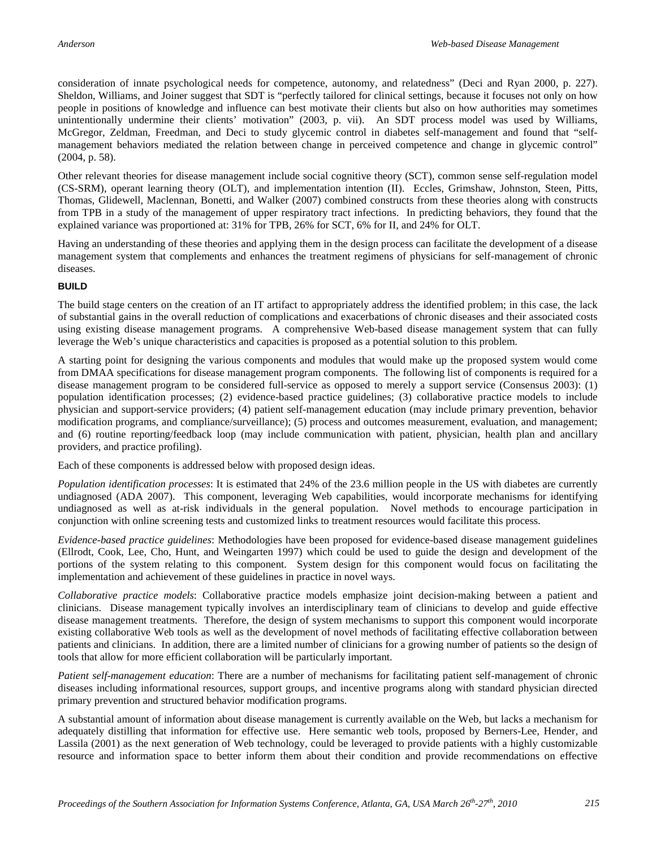consideration of innate psychological needs for competence, autonomy, and relatedness" (Deci and Ryan 2000, p. 227). Sheldon, Williams, and Joiner suggest that SDT is "perfectly tailored for clinical settings, because it focuses not only on how people in positions of knowledge and influence can best motivate their clients but also on how authorities may sometimes unintentionally undermine their clients' motivation" (2003, p. vii). An SDT process model was used by Williams, McGregor, Zeldman, Freedman, and Deci to study glycemic control in diabetes self-management and found that "selfmanagement behaviors mediated the relation between change in perceived competence and change in glycemic control" (2004, p. 58).

Other relevant theories for disease management include social cognitive theory (SCT), common sense self-regulation model (CS-SRM), operant learning theory (OLT), and implementation intention (II). Eccles, Grimshaw, Johnston, Steen, Pitts, Thomas, Glidewell, Maclennan, Bonetti, and Walker (2007) combined constructs from these theories along with constructs from TPB in a study of the management of upper respiratory tract infections. In predicting behaviors, they found that the explained variance was proportioned at: 31% for TPB, 26% for SCT, 6% for II, and 24% for OLT.

Having an understanding of these theories and applying them in the design process can facilitate the development of a disease management system that complements and enhances the treatment regimens of physicians for self-management of chronic diseases.

#### **BUILD**

The build stage centers on the creation of an IT artifact to appropriately address the identified problem; in this case, the lack of substantial gains in the overall reduction of complications and exacerbations of chronic diseases and their associated costs using existing disease management programs. A comprehensive Web-based disease management system that can fully leverage the Web's unique characteristics and capacities is proposed as a potential solution to this problem.

A starting point for designing the various components and modules that would make up the proposed system would come from DMAA specifications for disease management program components. The following list of components is required for a disease management program to be considered full-service as opposed to merely a support service (Consensus 2003): (1) population identification processes; (2) evidence-based practice guidelines; (3) collaborative practice models to include physician and support-service providers; (4) patient self-management education (may include primary prevention, behavior modification programs, and compliance/surveillance); (5) process and outcomes measurement, evaluation, and management; and (6) routine reporting/feedback loop (may include communication with patient, physician, health plan and ancillary providers, and practice profiling).

Each of these components is addressed below with proposed design ideas.

*Population identification processes*: It is estimated that 24% of the 23.6 million people in the US with diabetes are currently undiagnosed (ADA 2007). This component, leveraging Web capabilities, would incorporate mechanisms for identifying undiagnosed as well as at-risk individuals in the general population. Novel methods to encourage participation in conjunction with online screening tests and customized links to treatment resources would facilitate this process.

*Evidence-based practice guidelines*: Methodologies have been proposed for evidence-based disease management guidelines (Ellrodt, Cook, Lee, Cho, Hunt, and Weingarten 1997) which could be used to guide the design and development of the portions of the system relating to this component. System design for this component would focus on facilitating the implementation and achievement of these guidelines in practice in novel ways.

*Collaborative practice models*: Collaborative practice models emphasize joint decision-making between a patient and clinicians. Disease management typically involves an interdisciplinary team of clinicians to develop and guide effective disease management treatments. Therefore, the design of system mechanisms to support this component would incorporate existing collaborative Web tools as well as the development of novel methods of facilitating effective collaboration between patients and clinicians. In addition, there are a limited number of clinicians for a growing number of patients so the design of tools that allow for more efficient collaboration will be particularly important.

*Patient self-management education*: There are a number of mechanisms for facilitating patient self-management of chronic diseases including informational resources, support groups, and incentive programs along with standard physician directed primary prevention and structured behavior modification programs.

A substantial amount of information about disease management is currently available on the Web, but lacks a mechanism for adequately distilling that information for effective use. Here semantic web tools, proposed by Berners-Lee, Hender, and Lassila (2001) as the next generation of Web technology, could be leveraged to provide patients with a highly customizable resource and information space to better inform them about their condition and provide recommendations on effective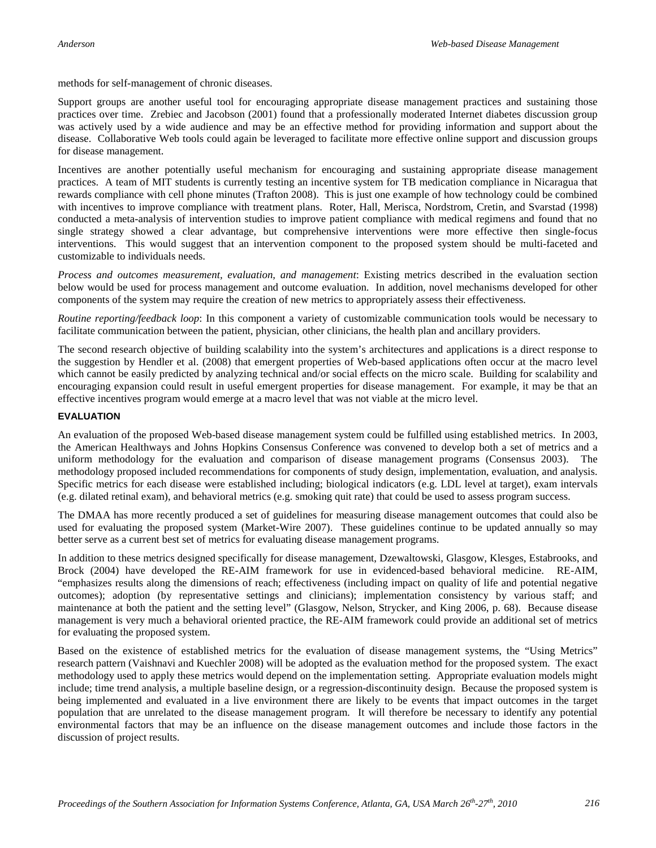methods for self-management of chronic diseases.

Support groups are another useful tool for encouraging appropriate disease management practices and sustaining those practices over time. Zrebiec and Jacobson (2001) found that a professionally moderated Internet diabetes discussion group was actively used by a wide audience and may be an effective method for providing information and support about the disease. Collaborative Web tools could again be leveraged to facilitate more effective online support and discussion groups for disease management.

Incentives are another potentially useful mechanism for encouraging and sustaining appropriate disease management practices. A team of MIT students is currently testing an incentive system for TB medication compliance in Nicaragua that rewards compliance with cell phone minutes (Trafton 2008). This is just one example of how technology could be combined with incentives to improve compliance with treatment plans. Roter, Hall, Merisca, Nordstrom, Cretin, and Svarstad (1998) conducted a meta-analysis of intervention studies to improve patient compliance with medical regimens and found that no single strategy showed a clear advantage, but comprehensive interventions were more effective then single-focus interventions. This would suggest that an intervention component to the proposed system should be multi-faceted and customizable to individuals needs.

*Process and outcomes measurement, evaluation, and management*: Existing metrics described in the evaluation section below would be used for process management and outcome evaluation. In addition, novel mechanisms developed for other components of the system may require the creation of new metrics to appropriately assess their effectiveness.

*Routine reporting/feedback loop*: In this component a variety of customizable communication tools would be necessary to facilitate communication between the patient, physician, other clinicians, the health plan and ancillary providers.

The second research objective of building scalability into the system's architectures and applications is a direct response to the suggestion by Hendler et al. (2008) that emergent properties of Web-based applications often occur at the macro level which cannot be easily predicted by analyzing technical and/or social effects on the micro scale. Building for scalability and encouraging expansion could result in useful emergent properties for disease management. For example, it may be that an effective incentives program would emerge at a macro level that was not viable at the micro level.

#### **EVALUATION**

An evaluation of the proposed Web-based disease management system could be fulfilled using established metrics. In 2003, the American Healthways and Johns Hopkins Consensus Conference was convened to develop both a set of metrics and a uniform methodology for the evaluation and comparison of disease management programs (Consensus 2003). The methodology proposed included recommendations for components of study design, implementation, evaluation, and analysis. Specific metrics for each disease were established including; biological indicators (e.g. LDL level at target), exam intervals (e.g. dilated retinal exam), and behavioral metrics (e.g. smoking quit rate) that could be used to assess program success.

The DMAA has more recently produced a set of guidelines for measuring disease management outcomes that could also be used for evaluating the proposed system (Market-Wire 2007). These guidelines continue to be updated annually so may better serve as a current best set of metrics for evaluating disease management programs.

In addition to these metrics designed specifically for disease management, Dzewaltowski, Glasgow, Klesges, Estabrooks, and Brock (2004) have developed the RE-AIM framework for use in evidenced-based behavioral medicine. RE-AIM, "emphasizes results along the dimensions of reach; effectiveness (including impact on quality of life and potential negative outcomes); adoption (by representative settings and clinicians); implementation consistency by various staff; and maintenance at both the patient and the setting level" (Glasgow, Nelson, Strycker, and King 2006, p. 68). Because disease management is very much a behavioral oriented practice, the RE-AIM framework could provide an additional set of metrics for evaluating the proposed system.

Based on the existence of established metrics for the evaluation of disease management systems, the "Using Metrics" research pattern (Vaishnavi and Kuechler 2008) will be adopted as the evaluation method for the proposed system. The exact methodology used to apply these metrics would depend on the implementation setting. Appropriate evaluation models might include; time trend analysis, a multiple baseline design, or a regression-discontinuity design. Because the proposed system is being implemented and evaluated in a live environment there are likely to be events that impact outcomes in the target population that are unrelated to the disease management program. It will therefore be necessary to identify any potential environmental factors that may be an influence on the disease management outcomes and include those factors in the discussion of project results.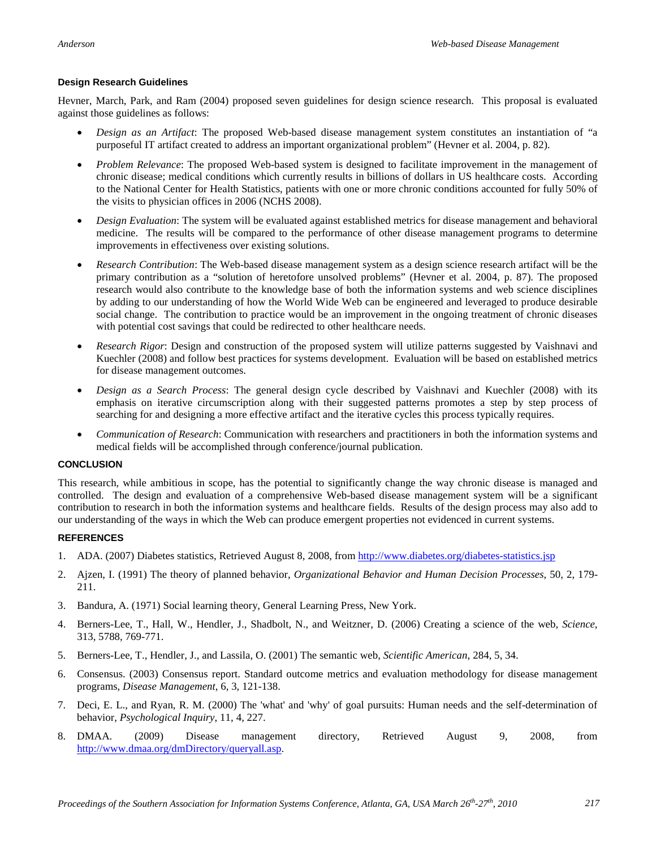#### **Design Research Guidelines**

Hevner, March, Park, and Ram (2004) proposed seven guidelines for design science research. This proposal is evaluated against those guidelines as follows:

- *Design as an Artifact*: The proposed Web-based disease management system constitutes an instantiation of "a purposeful IT artifact created to address an important organizational problem" (Hevner et al. 2004, p. 82).
- *Problem Relevance*: The proposed Web-based system is designed to facilitate improvement in the management of chronic disease; medical conditions which currently results in billions of dollars in US healthcare costs. According to the National Center for Health Statistics, patients with one or more chronic conditions accounted for fully 50% of the visits to physician offices in 2006 (NCHS 2008).
- *Design Evaluation*: The system will be evaluated against established metrics for disease management and behavioral medicine. The results will be compared to the performance of other disease management programs to determine improvements in effectiveness over existing solutions.
- *Research Contribution*: The Web-based disease management system as a design science research artifact will be the primary contribution as a "solution of heretofore unsolved problems" (Hevner et al. 2004, p. 87). The proposed research would also contribute to the knowledge base of both the information systems and web science disciplines by adding to our understanding of how the World Wide Web can be engineered and leveraged to produce desirable social change. The contribution to practice would be an improvement in the ongoing treatment of chronic diseases with potential cost savings that could be redirected to other healthcare needs.
- *Research Rigor*: Design and construction of the proposed system will utilize patterns suggested by Vaishnavi and Kuechler (2008) and follow best practices for systems development. Evaluation will be based on established metrics for disease management outcomes.
- *Design as a Search Process*: The general design cycle described by Vaishnavi and Kuechler (2008) with its emphasis on iterative circumscription along with their suggested patterns promotes a step by step process of searching for and designing a more effective artifact and the iterative cycles this process typically requires.
- *Communication of Research*: Communication with researchers and practitioners in both the information systems and medical fields will be accomplished through conference/journal publication.

#### **CONCLUSION**

This research, while ambitious in scope, has the potential to significantly change the way chronic disease is managed and controlled. The design and evaluation of a comprehensive Web-based disease management system will be a significant contribution to research in both the information systems and healthcare fields. Results of the design process may also add to our understanding of the ways in which the Web can produce emergent properties not evidenced in current systems.

#### **REFERENCES**

- 1. ADA. (2007) Diabetes statistics, Retrieved August 8, 2008, from<http://www.diabetes.org/diabetes-statistics.jsp>
- 2. Ajzen, I. (1991) The theory of planned behavior, *Organizational Behavior and Human Decision Processes*, 50, 2, 179- 211.
- 3. Bandura, A. (1971) Social learning theory, General Learning Press, New York.
- 4. Berners-Lee, T., Hall, W., Hendler, J., Shadbolt, N., and Weitzner, D. (2006) Creating a science of the web, *Science*, 313, 5788, 769-771.
- 5. Berners-Lee, T., Hendler, J., and Lassila, O. (2001) The semantic web, *Scientific American*, 284, 5, 34.
- 6. Consensus. (2003) Consensus report. Standard outcome metrics and evaluation methodology for disease management programs, *Disease Management*, 6, 3, 121-138.
- 7. Deci, E. L., and Ryan, R. M. (2000) The 'what' and 'why' of goal pursuits: Human needs and the self-determination of behavior, *Psychological Inquiry*, 11, 4, 227.
- 8. DMAA. (2009) Disease management directory, Retrieved August 9, 2008, from [http://www.dmaa.org/dmDirectory/queryall.asp.](http://www.dmaa.org/dmDirectory/queryall.asp)